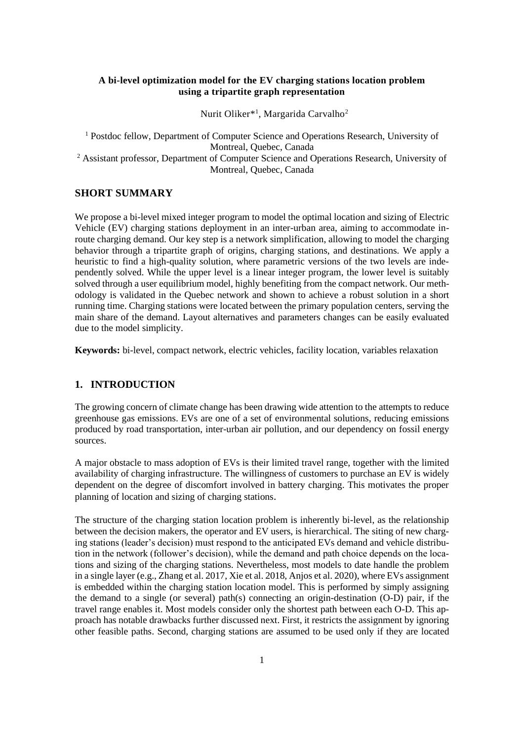## **A bi-level optimization model for the EV charging stations location problem using a tripartite graph representation**

Nurit Oliker<sup>\*1</sup>, Margarida Carvalho<sup>2</sup>

<sup>1</sup> Postdoc fellow, Department of Computer Science and Operations Research, University of Montreal, Quebec, Canada <sup>2</sup> Assistant professor, Department of Computer Science and Operations Research, University of Montreal, Quebec, Canada

## **SHORT SUMMARY**

We propose a bi-level mixed integer program to model the optimal location and sizing of Electric Vehicle (EV) charging stations deployment in an inter-urban area, aiming to accommodate inroute charging demand. Our key step is a network simplification, allowing to model the charging behavior through a tripartite graph of origins, charging stations, and destinations. We apply a heuristic to find a high-quality solution, where parametric versions of the two levels are independently solved. While the upper level is a linear integer program, the lower level is suitably solved through a user equilibrium model, highly benefiting from the compact network. Our methodology is validated in the Quebec network and shown to achieve a robust solution in a short running time. Charging stations were located between the primary population centers, serving the main share of the demand. Layout alternatives and parameters changes can be easily evaluated due to the model simplicity.

**Keywords:** bi-level, compact network, electric vehicles, facility location, variables relaxation

## **1. INTRODUCTION**

The growing concern of climate change has been drawing wide attention to the attempts to reduce greenhouse gas emissions. EVs are one of a set of environmental solutions, reducing emissions produced by road transportation, inter-urban air pollution, and our dependency on fossil energy sources.

A major obstacle to mass adoption of EVs is their limited travel range, together with the limited availability of charging infrastructure. The willingness of customers to purchase an EV is widely dependent on the degree of discomfort involved in battery charging. This motivates the proper planning of location and sizing of charging stations.

The structure of the charging station location problem is inherently bi-level, as the relationship between the decision makers, the operator and EV users, is hierarchical. The siting of new charging stations (leader's decision) must respond to the anticipated EVs demand and vehicle distribution in the network (follower's decision), while the demand and path choice depends on the locations and sizing of the charging stations. Nevertheless, most models to date handle the problem in a single layer (e.g., Zhang et al. 2017, Xie et al. 2018, Anjos et al. 2020), where EVs assignment is embedded within the charging station location model. This is performed by simply assigning the demand to a single (or several) path(s) connecting an origin-destination (O-D) pair, if the travel range enables it. Most models consider only the shortest path between each O-D. This approach has notable drawbacks further discussed next. First, it restricts the assignment by ignoring other feasible paths. Second, charging stations are assumed to be used only if they are located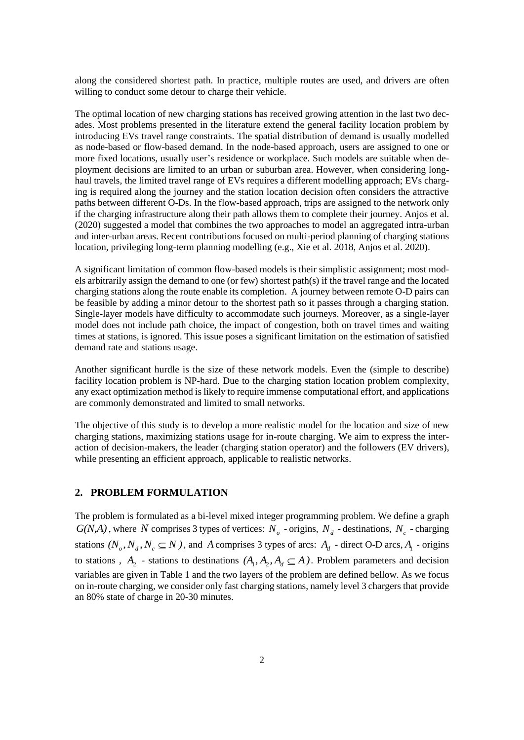along the considered shortest path. In practice, multiple routes are used, and drivers are often willing to conduct some detour to charge their vehicle.

The optimal location of new charging stations has received growing attention in the last two decades. Most problems presented in the literature extend the general facility location problem by introducing EVs travel range constraints. The spatial distribution of demand is usually modelled as node-based or flow-based demand. In the node-based approach, users are assigned to one or more fixed locations, usually user's residence or workplace. Such models are suitable when deployment decisions are limited to an urban or suburban area. However, when considering longhaul travels, the limited travel range of EVs requires a different modelling approach; EVs charging is required along the journey and the station location decision often considers the attractive paths between different O-Ds. In the flow-based approach, trips are assigned to the network only if the charging infrastructure along their path allows them to complete their journey. Anjos et al. (2020) suggested a model that combines the two approaches to model an aggregated intra-urban and inter-urban areas. Recent contributions focused on multi-period planning of charging stations location, privileging long-term planning modelling (e.g., Xie et al. 2018, Anjos et al. 2020).

A significant limitation of common flow-based models is their simplistic assignment; most models arbitrarily assign the demand to one (or few) shortest path(s) if the travel range and the located charging stations along the route enable its completion. A journey between remote O-D pairs can be feasible by adding a minor detour to the shortest path so it passes through a charging station. Single-layer models have difficulty to accommodate such journeys. Moreover, as a single-layer model does not include path choice, the impact of congestion, both on travel times and waiting times at stations, is ignored. This issue poses a significant limitation on the estimation of satisfied demand rate and stations usage.

Another significant hurdle is the size of these network models. Even the (simple to describe) facility location problem is NP-hard. Due to the charging station location problem complexity, any exact optimization method is likely to require immense computational effort, and applications are commonly demonstrated and limited to small networks.

The objective of this study is to develop a more realistic model for the location and size of new charging stations, maximizing stations usage for in-route charging. We aim to express the interaction of decision-makers, the leader (charging station operator) and the followers (EV drivers), while presenting an efficient approach, applicable to realistic networks.

## **2. PROBLEM FORMULATION**

The problem is formulated as a bi-level mixed integer programming problem. We define a graph  $G(N,A)$ , where N comprises 3 types of vertices:  $N_o$  - origins,  $N_d$  - destinations,  $N_c$  - charging stations  $(N_o, N_d, N_c \subseteq N)$ , and A comprises 3 types of arcs:  $A_d$  - direct O-D arcs,  $A_1$  - origins to stations,  $A_2$  - stations to destinations  $(A_1, A_2, A_d \subseteq A)$ . Problem parameters and decision variables are given in Table 1 and the two layers of the problem are defined bellow. As we focus on in-route charging, we consider only fast charging stations, namely level 3 chargers that provide an 80% state of charge in 20-30 minutes.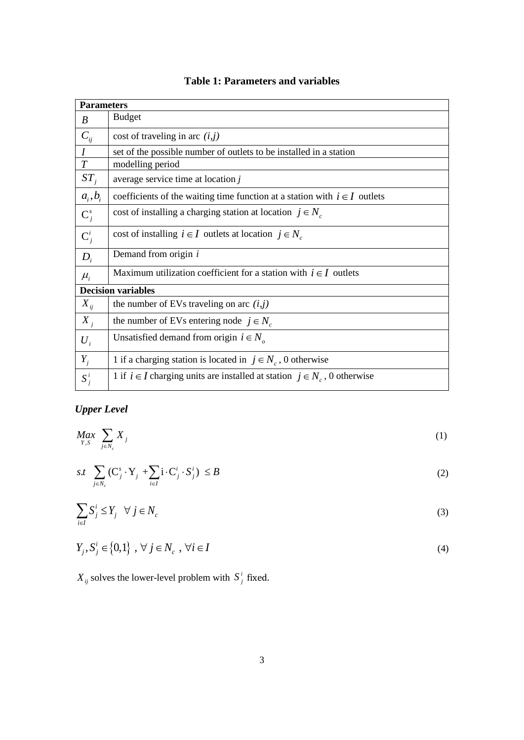| <b>Parameters</b>         |                                                                                  |  |  |  |
|---------------------------|----------------------------------------------------------------------------------|--|--|--|
| B                         | <b>Budget</b>                                                                    |  |  |  |
| $C_{ii}$                  | cost of traveling in arc $(i, j)$                                                |  |  |  |
| I                         | set of the possible number of outlets to be installed in a station               |  |  |  |
| T                         | modelling period                                                                 |  |  |  |
| $ST_i$                    | average service time at location $j$                                             |  |  |  |
| $a_i, b_i$                | coefficients of the waiting time function at a station with $i \in I$ outlets    |  |  |  |
| $\mathbf{C}_i^s$          | cost of installing a charging station at location $j \in N_c$                    |  |  |  |
| $\mathbf{C}_i^i$          | cost of installing $i \in I$ outlets at location $j \in N_c$                     |  |  |  |
| $D_i$                     | Demand from origin $i$                                                           |  |  |  |
| $\mu_i$                   | Maximum utilization coefficient for a station with $i \in I$ outlets             |  |  |  |
| <b>Decision variables</b> |                                                                                  |  |  |  |
| $X_{ij}$                  | the number of EVs traveling on arc $(i, j)$                                      |  |  |  |
| $X_i$                     | the number of EVs entering node $j \in N_c$                                      |  |  |  |
| $U_i$                     | Unsatisfied demand from origin $i \in N_a$                                       |  |  |  |
| $Y_{j}$                   | 1 if a charging station is located in $j \in N_c$ , 0 otherwise                  |  |  |  |
| $S_j^i$                   | 1 if $i \in I$ charging units are installed at station $j \in N_c$ , 0 otherwise |  |  |  |

## **Table 1: Parameters and variables**

# *Upper Level*

$$
\underset{Y,S}{Max} \sum_{j \in N_c} X_j \tag{1}
$$

$$
s.t \sum_{j \in N_c} (\mathbf{C}_j^s \cdot \mathbf{Y}_j + \sum_{i \in I} \mathbf{i} \cdot \mathbf{C}_j^i \cdot \mathbf{S}_j^i) \le B
$$
 (2)

$$
\sum_{i \in I} S_j^i \le Y_j \quad \forall \ j \in N_c \tag{3}
$$

$$
Y_j, S_j^i \in \{0,1\}, \ \forall \ j \in N_c \ , \ \forall i \in I
$$

 $X_{ij}$  solves the lower-level problem with  $S^i_j$  $S_j^i$  fixed.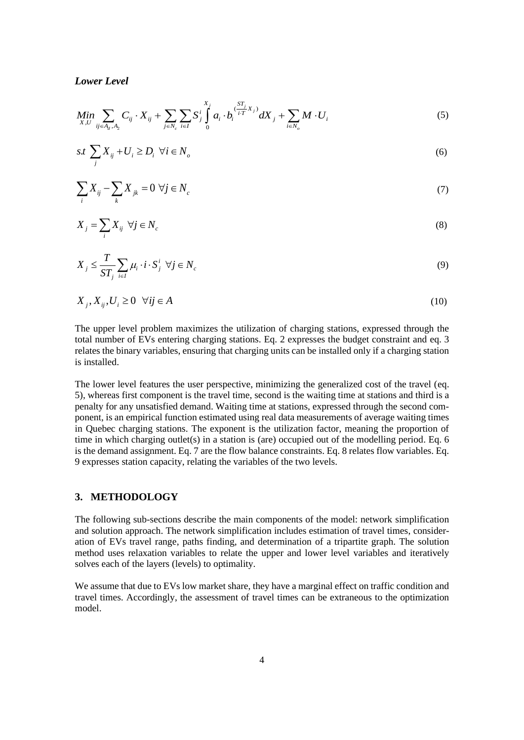#### *Lower Level*

Lower Level  
\n
$$
\underset{X,U}{Min} \sum_{ij \in A_d, A_2} C_{ij} \cdot X_{ij} + \sum_{j \in N_c} \sum_{i \in I} S_j^i \int_0^{X_j} a_i \cdot b_i^{(\frac{ST_j}{iT}X_j)} dX_j + \sum_{i \in N_o} M \cdot U_i
$$
\n(5)

$$
s.t. \sum_{j} X_{ij} + U_i \ge D_i \ \forall i \in N_o \tag{6}
$$

$$
\sum_{i} X_{ij} - \sum_{k} X_{jk} = 0 \ \forall j \in N_c \tag{7}
$$

$$
X_j = \sum_i X_{ij} \quad \forall j \in N_c \tag{8}
$$

$$
X_j \leq \frac{T}{ST_j} \sum_{i \in I} \mu_i \cdot i \cdot S_j^i \ \forall j \in N_c \tag{9}
$$

$$
X_j, X_{ij}, U_i \ge 0 \quad \forall ij \in A
$$
\n<sup>(10)</sup>

The upper level problem maximizes the utilization of charging stations, expressed through the total number of EVs entering charging stations. Eq. 2 expresses the budget constraint and eq. 3 relates the binary variables, ensuring that charging units can be installed only if a charging station is installed.

The lower level features the user perspective, minimizing the generalized cost of the travel (eq. 5), whereas first component is the travel time, second is the waiting time at stations and third is a penalty for any unsatisfied demand. Waiting time at stations, expressed through the second component, is an empirical function estimated using real data measurements of average waiting times in Quebec charging stations. The exponent is the utilization factor, meaning the proportion of time in which charging outlet(s) in a station is (are) occupied out of the modelling period. Eq. 6 is the demand assignment. Eq. 7 are the flow balance constraints. Eq. 8 relates flow variables. Eq. 9 expresses station capacity, relating the variables of the two levels.

## **3. METHODOLOGY**

The following sub-sections describe the main components of the model: network simplification and solution approach. The network simplification includes estimation of travel times, consideration of EVs travel range, paths finding, and determination of a tripartite graph. The solution method uses relaxation variables to relate the upper and lower level variables and iteratively solves each of the layers (levels) to optimality.

We assume that due to EVs low market share, they have a marginal effect on traffic condition and travel times. Accordingly, the assessment of travel times can be extraneous to the optimization model.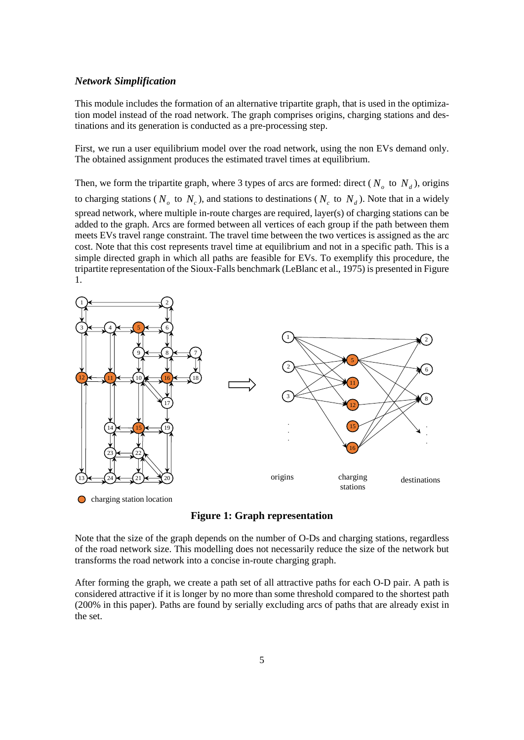#### *Network Simplification*

This module includes the formation of an alternative tripartite graph, that is used in the optimization model instead of the road network. The graph comprises origins, charging stations and destinations and its generation is conducted as a pre-processing step.

First, we run a user equilibrium model over the road network, using the non EVs demand only. The obtained assignment produces the estimated travel times at equilibrium.

Then, we form the tripartite graph, where 3 types of arcs are formed: direct ( $N<sub>o</sub>$  to  $N<sub>d</sub>$ ), origins to charging stations ( $N<sub>o</sub>$  to  $N<sub>c</sub>$ ), and stations to destinations ( $N<sub>c</sub>$  to  $N<sub>d</sub>$ ). Note that in a widely spread network, where multiple in-route charges are required, layer(s) of charging stations can be added to the graph. Arcs are formed between all vertices of each group if the path between them meets EVs travel range constraint. The travel time between the two vertices is assigned as the arc cost. Note that this cost represents travel time at equilibrium and not in a specific path. This is a simple directed graph in which all paths are feasible for EVs. To exemplify this procedure, the tripartite representation of the Sioux-Falls benchmark (LeBlanc et al., 1975) is presented in Figure 1.



**Figure 1: Graph representation** 

Note that the size of the graph depends on the number of O-Ds and charging stations, regardless of the road network size. This modelling does not necessarily reduce the size of the network but transforms the road network into a concise in-route charging graph.

After forming the graph, we create a path set of all attractive paths for each O-D pair. A path is considered attractive if it is longer by no more than some threshold compared to the shortest path (200% in this paper). Paths are found by serially excluding arcs of paths that are already exist in the set.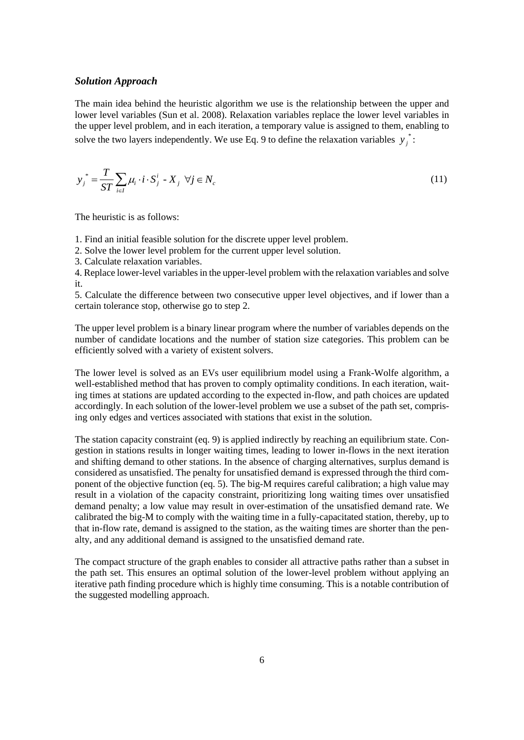#### *Solution Approach*

The main idea behind the heuristic algorithm we use is the relationship between the upper and lower level variables (Sun et al. 2008). Relaxation variables replace the lower level variables in the upper level problem, and in each iteration, a temporary value is assigned to them, enabling to solve the two layers independently. We use Eq. 9 to define the relaxation variables  $y_i^*$ *j y* :

$$
y_j^* = \frac{T}{ST} \sum_{i \in I} \mu_i \cdot i \cdot S_j^i - X_j \quad \forall j \in N_c
$$
\n(11)

The heuristic is as follows:

1. Find an initial feasible solution for the discrete upper level problem.

2. Solve the lower level problem for the current upper level solution.

3. Calculate relaxation variables.

4. Replace lower-level variables in the upper-level problem with the relaxation variables and solve it.

5. Calculate the difference between two consecutive upper level objectives, and if lower than a certain tolerance stop, otherwise go to step 2.

The upper level problem is a binary linear program where the number of variables depends on the number of candidate locations and the number of station size categories. This problem can be efficiently solved with a variety of existent solvers.

The lower level is solved as an EVs user equilibrium model using a Frank-Wolfe algorithm, a well-established method that has proven to comply optimality conditions. In each iteration, waiting times at stations are updated according to the expected in-flow, and path choices are updated accordingly. In each solution of the lower-level problem we use a subset of the path set, comprising only edges and vertices associated with stations that exist in the solution.

The station capacity constraint (eq. 9) is applied indirectly by reaching an equilibrium state. Congestion in stations results in longer waiting times, leading to lower in-flows in the next iteration and shifting demand to other stations. In the absence of charging alternatives, surplus demand is considered as unsatisfied. The penalty for unsatisfied demand is expressed through the third component of the objective function (eq. 5). The big-M requires careful calibration; a high value may result in a violation of the capacity constraint, prioritizing long waiting times over unsatisfied demand penalty; a low value may result in over-estimation of the unsatisfied demand rate. We calibrated the big-M to comply with the waiting time in a fully-capacitated station, thereby, up to that in-flow rate, demand is assigned to the station, as the waiting times are shorter than the penalty, and any additional demand is assigned to the unsatisfied demand rate.

The compact structure of the graph enables to consider all attractive paths rather than a subset in the path set. This ensures an optimal solution of the lower-level problem without applying an iterative path finding procedure which is highly time consuming. This is a notable contribution of the suggested modelling approach.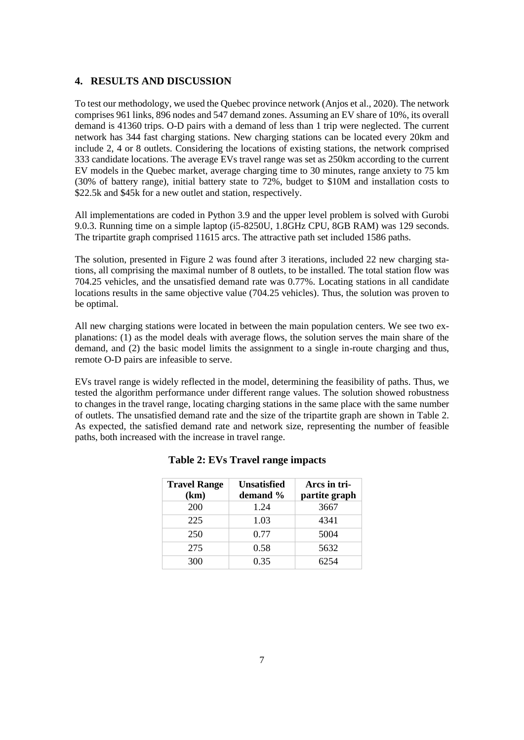#### **4. RESULTS AND DISCUSSION**

To test our methodology, we used the Quebec province network (Anjos et al., 2020). The network comprises 961 links, 896 nodes and 547 demand zones. Assuming an EV share of 10%, its overall demand is 41360 trips. O-D pairs with a demand of less than 1 trip were neglected. The current network has 344 fast charging stations. New charging stations can be located every 20km and include 2, 4 or 8 outlets. Considering the locations of existing stations, the network comprised 333 candidate locations. The average EVs travel range was set as 250km according to the current EV models in the Quebec market, average charging time to 30 minutes, range anxiety to 75 km (30% of battery range), initial battery state to 72%, budget to \$10M and installation costs to \$22.5k and \$45k for a new outlet and station, respectively.

All implementations are coded in Python 3.9 and the upper level problem is solved with Gurobi 9.0.3. Running time on a simple laptop (i5-8250U, 1.8GHz CPU, 8GB RAM) was 129 seconds. The tripartite graph comprised 11615 arcs. The attractive path set included 1586 paths.

The solution, presented in Figure 2 was found after 3 iterations, included 22 new charging stations, all comprising the maximal number of 8 outlets, to be installed. The total station flow was 704.25 vehicles, and the unsatisfied demand rate was 0.77%. Locating stations in all candidate locations results in the same objective value (704.25 vehicles). Thus, the solution was proven to be optimal.

All new charging stations were located in between the main population centers. We see two explanations: (1) as the model deals with average flows, the solution serves the main share of the demand, and (2) the basic model limits the assignment to a single in-route charging and thus, remote O-D pairs are infeasible to serve.

EVs travel range is widely reflected in the model, determining the feasibility of paths. Thus, we tested the algorithm performance under different range values. The solution showed robustness to changes in the travel range, locating charging stations in the same place with the same number of outlets. The unsatisfied demand rate and the size of the tripartite graph are shown in Table 2. As expected, the satisfied demand rate and network size, representing the number of feasible paths, both increased with the increase in travel range.

| <b>Travel Range</b> | <b>Unsatisfied</b> | Arcs in tri-  |
|---------------------|--------------------|---------------|
| (km)                | demand %           | partite graph |
| 200                 | 1.24               | 3667          |
| 225                 | 1.03               | 4341          |
| 250                 | 0.77               | 5004          |
| 275                 | 0.58               | 5632          |
| 300                 | 0.35               | 6254          |

#### **Table 2: EVs Travel range impacts**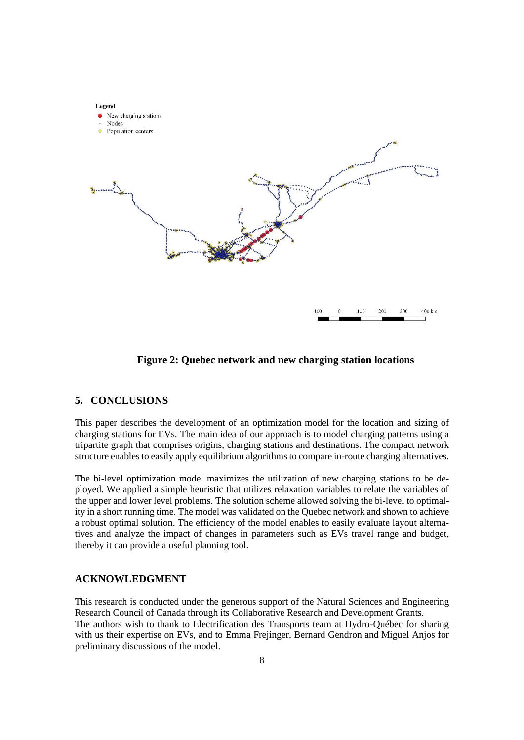

**Figure 2: Quebec network and new charging station locations**

## **5. CONCLUSIONS**

This paper describes the development of an optimization model for the location and sizing of charging stations for EVs. The main idea of our approach is to model charging patterns using a tripartite graph that comprises origins, charging stations and destinations. The compact network structure enables to easily apply equilibrium algorithms to compare in-route charging alternatives.

The bi-level optimization model maximizes the utilization of new charging stations to be deployed. We applied a simple heuristic that utilizes relaxation variables to relate the variables of the upper and lower level problems. The solution scheme allowed solving the bi-level to optimality in a short running time. The model was validated on the Quebec network and shown to achieve a robust optimal solution. The efficiency of the model enables to easily evaluate layout alternatives and analyze the impact of changes in parameters such as EVs travel range and budget, thereby it can provide a useful planning tool.

#### **ACKNOWLEDGMENT**

This research is conducted under the generous support of the Natural Sciences and Engineering Research Council of Canada through its Collaborative Research and Development Grants. The authors wish to thank to Electrification des Transports team at Hydro-Québec for sharing with us their expertise on EVs, and to Emma Frejinger, Bernard Gendron and Miguel Anjos for preliminary discussions of the model.